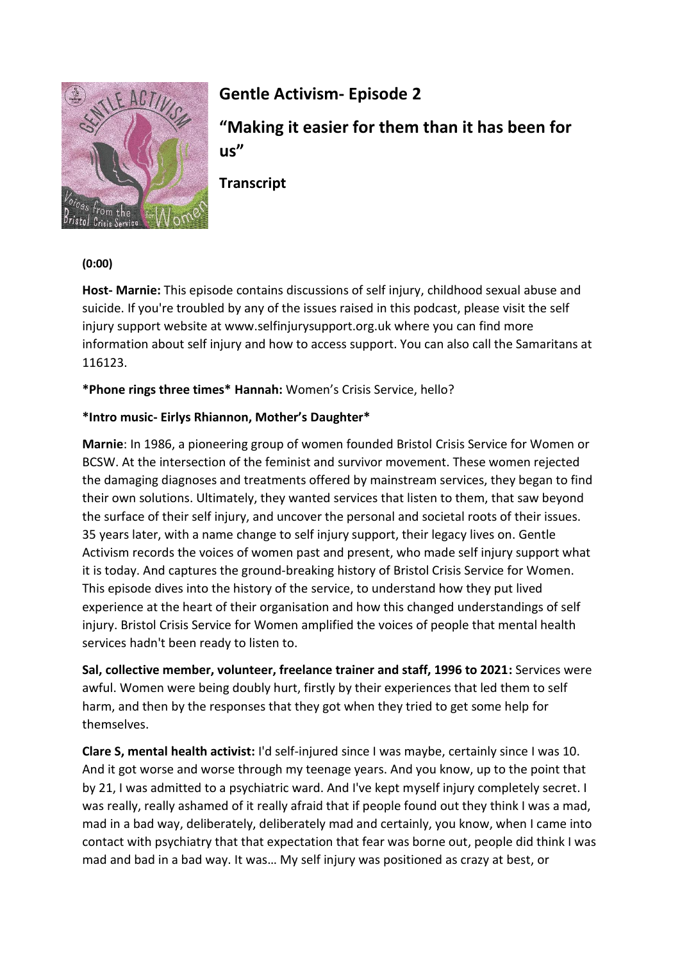

# **Gentle Activism- Episode 2**

**"Making it easier for them than it has been for us"**

**Transcript**

#### **(0:00)**

**Host- Marnie:** This episode contains discussions of self injury, childhood sexual abuse and suicide. If you're troubled by any of the issues raised in this podcast, please visit the self injury support website at www.selfinjurysupport.org.uk where you can find more information about self injury and how to access support. You can also call the Samaritans at 116123.

**\*Phone rings three times\* Hannah:** Women's Crisis Service, hello?

### **\*Intro music- Eirlys Rhiannon, Mother's Daughter\***

**Marnie**: In 1986, a pioneering group of women founded Bristol Crisis Service for Women or BCSW. At the intersection of the feminist and survivor movement. These women rejected the damaging diagnoses and treatments offered by mainstream services, they began to find their own solutions. Ultimately, they wanted services that listen to them, that saw beyond the surface of their self injury, and uncover the personal and societal roots of their issues. 35 years later, with a name change to self injury support, their legacy lives on. Gentle Activism records the voices of women past and present, who made self injury support what it is today. And captures the ground-breaking history of Bristol Crisis Service for Women. This episode dives into the history of the service, to understand how they put lived experience at the heart of their organisation and how this changed understandings of self injury. Bristol Crisis Service for Women amplified the voices of people that mental health services hadn't been ready to listen to.

**Sal, collective member, volunteer, freelance trainer and staff, 1996 to 2021:** Services were awful. Women were being doubly hurt, firstly by their experiences that led them to self harm, and then by the responses that they got when they tried to get some help for themselves.

**Clare S, mental health activist:** I'd self-injured since I was maybe, certainly since I was 10. And it got worse and worse through my teenage years. And you know, up to the point that by 21, I was admitted to a psychiatric ward. And I've kept myself injury completely secret. I was really, really ashamed of it really afraid that if people found out they think I was a mad, mad in a bad way, deliberately, deliberately mad and certainly, you know, when I came into contact with psychiatry that that expectation that fear was borne out, people did think I was mad and bad in a bad way. It was… My self injury was positioned as crazy at best, or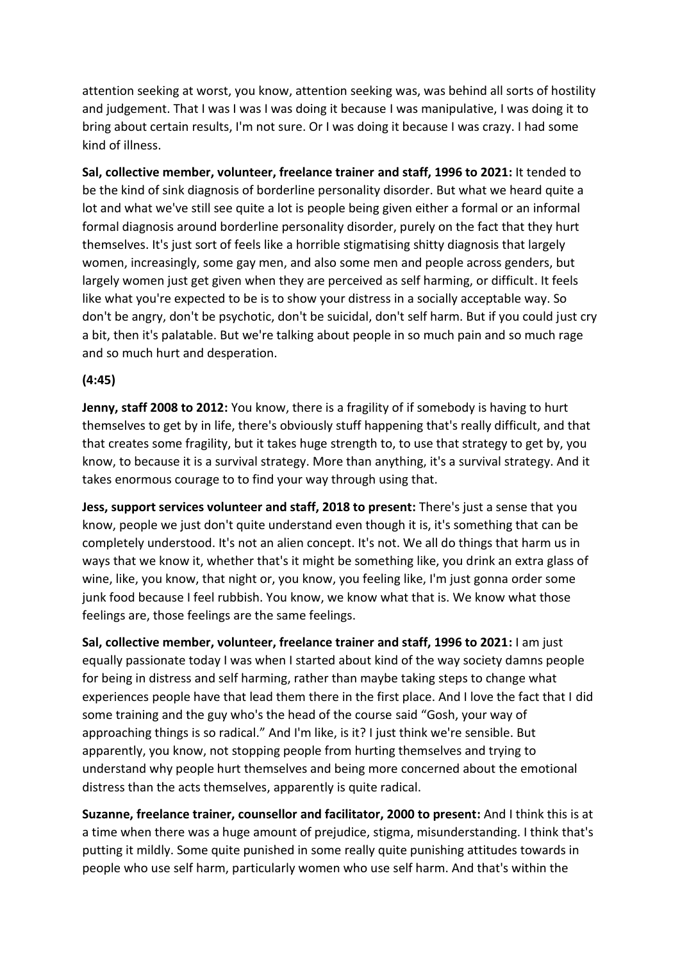attention seeking at worst, you know, attention seeking was, was behind all sorts of hostility and judgement. That I was I was I was doing it because I was manipulative, I was doing it to bring about certain results, I'm not sure. Or I was doing it because I was crazy. I had some kind of illness.

**Sal, collective member, volunteer, freelance trainer and staff, 1996 to 2021:** It tended to be the kind of sink diagnosis of borderline personality disorder. But what we heard quite a lot and what we've still see quite a lot is people being given either a formal or an informal formal diagnosis around borderline personality disorder, purely on the fact that they hurt themselves. It's just sort of feels like a horrible stigmatising shitty diagnosis that largely women, increasingly, some gay men, and also some men and people across genders, but largely women just get given when they are perceived as self harming, or difficult. It feels like what you're expected to be is to show your distress in a socially acceptable way. So don't be angry, don't be psychotic, don't be suicidal, don't self harm. But if you could just cry a bit, then it's palatable. But we're talking about people in so much pain and so much rage and so much hurt and desperation.

### **(4:45)**

Jenny, staff 2008 to 2012: You know, there is a fragility of if somebody is having to hurt themselves to get by in life, there's obviously stuff happening that's really difficult, and that that creates some fragility, but it takes huge strength to, to use that strategy to get by, you know, to because it is a survival strategy. More than anything, it's a survival strategy. And it takes enormous courage to to find your way through using that.

**Jess, support services volunteer and staff, 2018 to present:** There's just a sense that you know, people we just don't quite understand even though it is, it's something that can be completely understood. It's not an alien concept. It's not. We all do things that harm us in ways that we know it, whether that's it might be something like, you drink an extra glass of wine, like, you know, that night or, you know, you feeling like, I'm just gonna order some junk food because I feel rubbish. You know, we know what that is. We know what those feelings are, those feelings are the same feelings.

**Sal, collective member, volunteer, freelance trainer and staff, 1996 to 2021:** I am just equally passionate today I was when I started about kind of the way society damns people for being in distress and self harming, rather than maybe taking steps to change what experiences people have that lead them there in the first place. And I love the fact that I did some training and the guy who's the head of the course said "Gosh, your way of approaching things is so radical." And I'm like, is it? I just think we're sensible. But apparently, you know, not stopping people from hurting themselves and trying to understand why people hurt themselves and being more concerned about the emotional distress than the acts themselves, apparently is quite radical.

**Suzanne, freelance trainer, counsellor and facilitator, 2000 to present:** And I think this is at a time when there was a huge amount of prejudice, stigma, misunderstanding. I think that's putting it mildly. Some quite punished in some really quite punishing attitudes towards in people who use self harm, particularly women who use self harm. And that's within the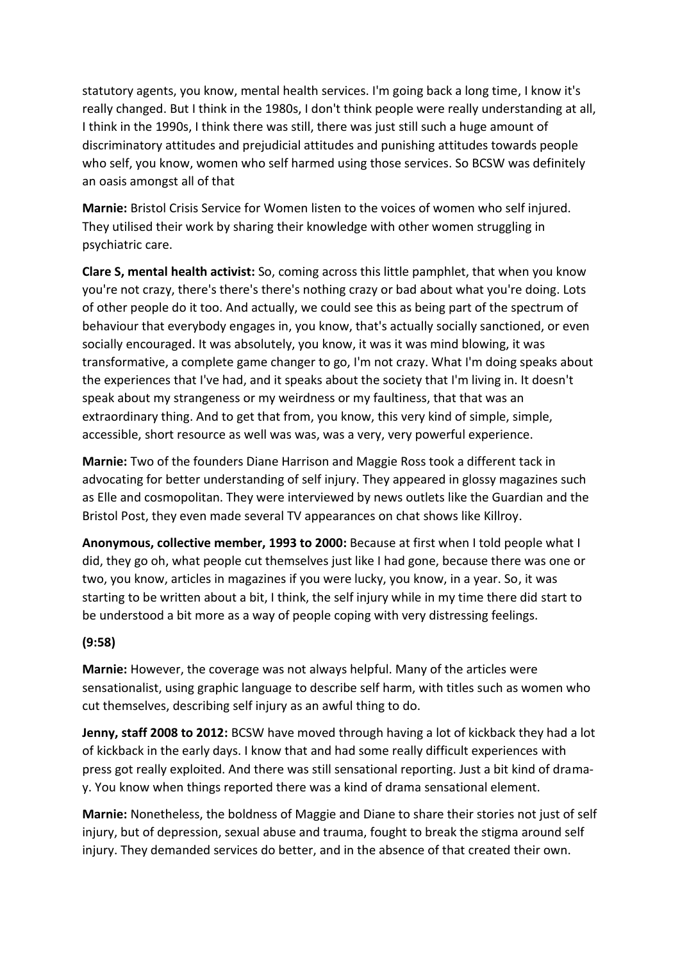statutory agents, you know, mental health services. I'm going back a long time, I know it's really changed. But I think in the 1980s, I don't think people were really understanding at all, I think in the 1990s, I think there was still, there was just still such a huge amount of discriminatory attitudes and prejudicial attitudes and punishing attitudes towards people who self, you know, women who self harmed using those services. So BCSW was definitely an oasis amongst all of that

**Marnie:** Bristol Crisis Service for Women listen to the voices of women who self injured. They utilised their work by sharing their knowledge with other women struggling in psychiatric care.

**Clare S, mental health activist:** So, coming across this little pamphlet, that when you know you're not crazy, there's there's there's nothing crazy or bad about what you're doing. Lots of other people do it too. And actually, we could see this as being part of the spectrum of behaviour that everybody engages in, you know, that's actually socially sanctioned, or even socially encouraged. It was absolutely, you know, it was it was mind blowing, it was transformative, a complete game changer to go, I'm not crazy. What I'm doing speaks about the experiences that I've had, and it speaks about the society that I'm living in. It doesn't speak about my strangeness or my weirdness or my faultiness, that that was an extraordinary thing. And to get that from, you know, this very kind of simple, simple, accessible, short resource as well was was, was a very, very powerful experience.

**Marnie:** Two of the founders Diane Harrison and Maggie Ross took a different tack in advocating for better understanding of self injury. They appeared in glossy magazines such as Elle and cosmopolitan. They were interviewed by news outlets like the Guardian and the Bristol Post, they even made several TV appearances on chat shows like Killroy.

**Anonymous, collective member, 1993 to 2000:** Because at first when I told people what I did, they go oh, what people cut themselves just like I had gone, because there was one or two, you know, articles in magazines if you were lucky, you know, in a year. So, it was starting to be written about a bit, I think, the self injury while in my time there did start to be understood a bit more as a way of people coping with very distressing feelings.

### **(9:58)**

**Marnie:** However, the coverage was not always helpful. Many of the articles were sensationalist, using graphic language to describe self harm, with titles such as women who cut themselves, describing self injury as an awful thing to do.

**Jenny, staff 2008 to 2012:** BCSW have moved through having a lot of kickback they had a lot of kickback in the early days. I know that and had some really difficult experiences with press got really exploited. And there was still sensational reporting. Just a bit kind of dramay. You know when things reported there was a kind of drama sensational element.

**Marnie:** Nonetheless, the boldness of Maggie and Diane to share their stories not just of self injury, but of depression, sexual abuse and trauma, fought to break the stigma around self injury. They demanded services do better, and in the absence of that created their own.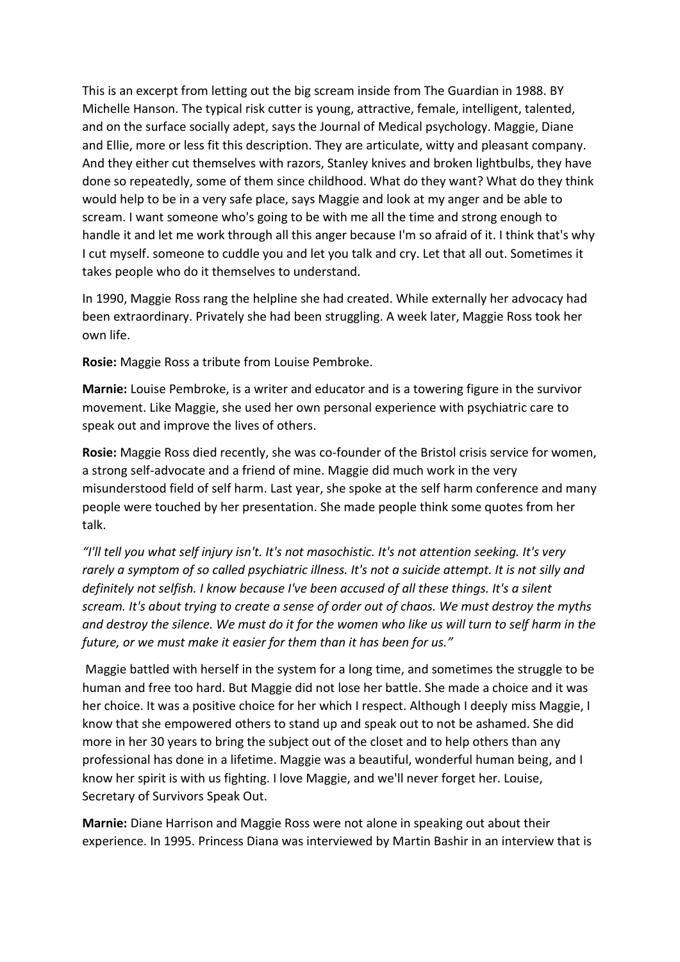This is an excerpt from letting out the big scream inside from The Guardian in 1988. BY Michelle Hanson. The typical risk cutter is young, attractive, female, intelligent, talented, and on the surface socially adept, says the Journal of Medical psychology. Maggie, Diane and Ellie, more or less fit this description. They are articulate, witty and pleasant company. And they either cut themselves with razors, Stanley knives and broken lightbulbs, they have done so repeatedly, some of them since childhood. What do they want? What do they think would help to be in a very safe place, says Maggie and look at my anger and be able to scream. I want someone who's going to be with me all the time and strong enough to handle it and let me work through all this anger because I'm so afraid of it. I think that's why I cut myself. someone to cuddle you and let you talk and cry. Let that all out. Sometimes it takes people who do it themselves to understand.

In 1990, Maggie Ross rang the helpline she had created. While externally her advocacy had been extraordinary. Privately she had been struggling. A week later, Maggie Ross took her own life.

**Rosie:** Maggie Ross a tribute from Louise Pembroke.

**Marnie:** Louise Pembroke, is a writer and educator and is a towering figure in the survivor movement. Like Maggie, she used her own personal experience with psychiatric care to speak out and improve the lives of others.

**Rosie:** Maggie Ross died recently, she was co-founder of the Bristol crisis service for women, a strong self-advocate and a friend of mine. Maggie did much work in the very misunderstood field of self harm. Last year, she spoke at the self harm conference and many people were touched by her presentation. She made people think some quotes from her talk.

*"I'll tell you what self injury isn't. It's not masochistic. It's not attention seeking. It's very rarely a symptom of so called psychiatric illness. It's not a suicide attempt. It is not silly and definitely not selfish. I know because I've been accused of all these things. It's a silent scream. It's about trying to create a sense of order out of chaos. We must destroy the myths and destroy the silence. We must do it for the women who like us will turn to self harm in the future, or we must make it easier for them than it has been for us."*

Maggie battled with herself in the system for a long time, and sometimes the struggle to be human and free too hard. But Maggie did not lose her battle. She made a choice and it was her choice. It was a positive choice for her which I respect. Although I deeply miss Maggie, I know that she empowered others to stand up and speak out to not be ashamed. She did more in her 30 years to bring the subject out of the closet and to help others than any professional has done in a lifetime. Maggie was a beautiful, wonderful human being, and I know her spirit is with us fighting. I love Maggie, and we'll never forget her. Louise, Secretary of Survivors Speak Out.

**Marnie:** Diane Harrison and Maggie Ross were not alone in speaking out about their experience. In 1995. Princess Diana was interviewed by Martin Bashir in an interview that is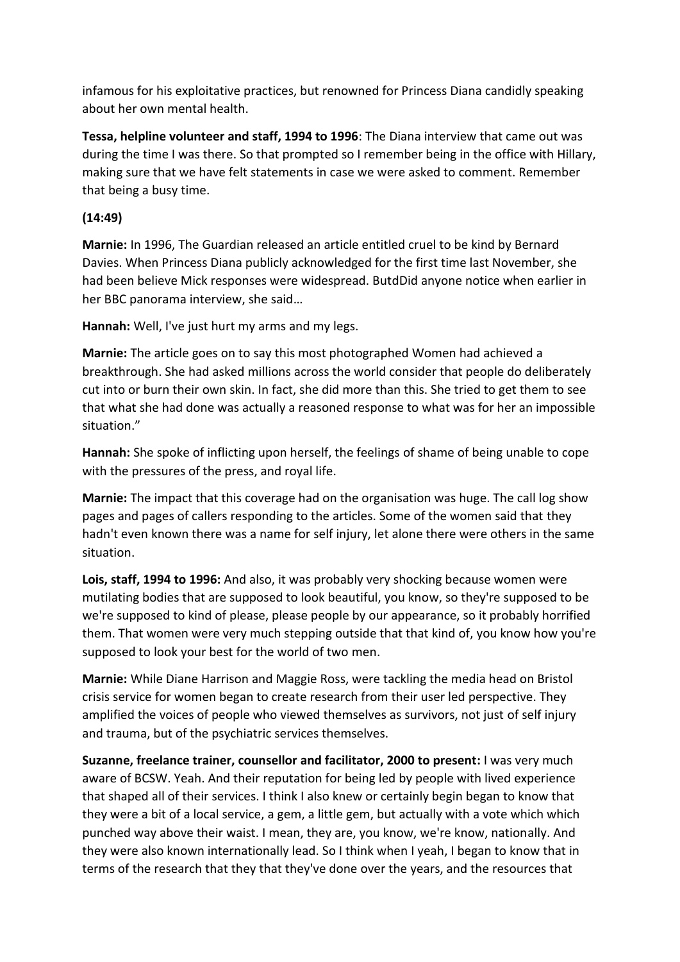infamous for his exploitative practices, but renowned for Princess Diana candidly speaking about her own mental health.

**Tessa, helpline volunteer and staff, 1994 to 1996**: The Diana interview that came out was during the time I was there. So that prompted so I remember being in the office with Hillary, making sure that we have felt statements in case we were asked to comment. Remember that being a busy time.

### **(14:49)**

**Marnie:** In 1996, The Guardian released an article entitled cruel to be kind by Bernard Davies. When Princess Diana publicly acknowledged for the first time last November, she had been believe Mick responses were widespread. ButdDid anyone notice when earlier in her BBC panorama interview, she said…

**Hannah:** Well, I've just hurt my arms and my legs.

**Marnie:** The article goes on to say this most photographed Women had achieved a breakthrough. She had asked millions across the world consider that people do deliberately cut into or burn their own skin. In fact, she did more than this. She tried to get them to see that what she had done was actually a reasoned response to what was for her an impossible situation."

**Hannah:** She spoke of inflicting upon herself, the feelings of shame of being unable to cope with the pressures of the press, and royal life.

**Marnie:** The impact that this coverage had on the organisation was huge. The call log show pages and pages of callers responding to the articles. Some of the women said that they hadn't even known there was a name for self injury, let alone there were others in the same situation.

**Lois, staff, 1994 to 1996:** And also, it was probably very shocking because women were mutilating bodies that are supposed to look beautiful, you know, so they're supposed to be we're supposed to kind of please, please people by our appearance, so it probably horrified them. That women were very much stepping outside that that kind of, you know how you're supposed to look your best for the world of two men.

**Marnie:** While Diane Harrison and Maggie Ross, were tackling the media head on Bristol crisis service for women began to create research from their user led perspective. They amplified the voices of people who viewed themselves as survivors, not just of self injury and trauma, but of the psychiatric services themselves.

**Suzanne, freelance trainer, counsellor and facilitator, 2000 to present:** I was very much aware of BCSW. Yeah. And their reputation for being led by people with lived experience that shaped all of their services. I think I also knew or certainly begin began to know that they were a bit of a local service, a gem, a little gem, but actually with a vote which which punched way above their waist. I mean, they are, you know, we're know, nationally. And they were also known internationally lead. So I think when I yeah, I began to know that in terms of the research that they that they've done over the years, and the resources that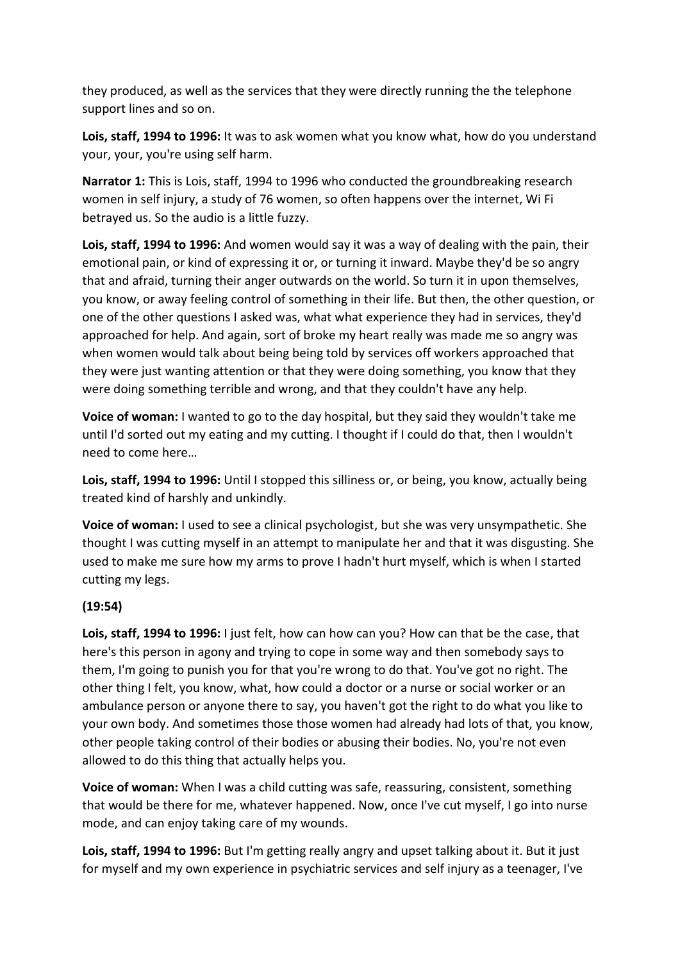they produced, as well as the services that they were directly running the the telephone support lines and so on.

**Lois, staff, 1994 to 1996:** It was to ask women what you know what, how do you understand your, your, you're using self harm.

**Narrator 1:** This is Lois, staff, 1994 to 1996 who conducted the groundbreaking research women in self injury, a study of 76 women, so often happens over the internet, Wi Fi betrayed us. So the audio is a little fuzzy.

**Lois, staff, 1994 to 1996:** And women would say it was a way of dealing with the pain, their emotional pain, or kind of expressing it or, or turning it inward. Maybe they'd be so angry that and afraid, turning their anger outwards on the world. So turn it in upon themselves, you know, or away feeling control of something in their life. But then, the other question, or one of the other questions I asked was, what what experience they had in services, they'd approached for help. And again, sort of broke my heart really was made me so angry was when women would talk about being being told by services off workers approached that they were just wanting attention or that they were doing something, you know that they were doing something terrible and wrong, and that they couldn't have any help.

**Voice of woman:** I wanted to go to the day hospital, but they said they wouldn't take me until I'd sorted out my eating and my cutting. I thought if I could do that, then I wouldn't need to come here…

**Lois, staff, 1994 to 1996:** Until I stopped this silliness or, or being, you know, actually being treated kind of harshly and unkindly.

**Voice of woman:** I used to see a clinical psychologist, but she was very unsympathetic. She thought I was cutting myself in an attempt to manipulate her and that it was disgusting. She used to make me sure how my arms to prove I hadn't hurt myself, which is when I started cutting my legs.

### **(19:54)**

**Lois, staff, 1994 to 1996:** I just felt, how can how can you? How can that be the case, that here's this person in agony and trying to cope in some way and then somebody says to them, I'm going to punish you for that you're wrong to do that. You've got no right. The other thing I felt, you know, what, how could a doctor or a nurse or social worker or an ambulance person or anyone there to say, you haven't got the right to do what you like to your own body. And sometimes those those women had already had lots of that, you know, other people taking control of their bodies or abusing their bodies. No, you're not even allowed to do this thing that actually helps you.

**Voice of woman:** When I was a child cutting was safe, reassuring, consistent, something that would be there for me, whatever happened. Now, once I've cut myself, I go into nurse mode, and can enjoy taking care of my wounds.

**Lois, staff, 1994 to 1996:** But I'm getting really angry and upset talking about it. But it just for myself and my own experience in psychiatric services and self injury as a teenager, I've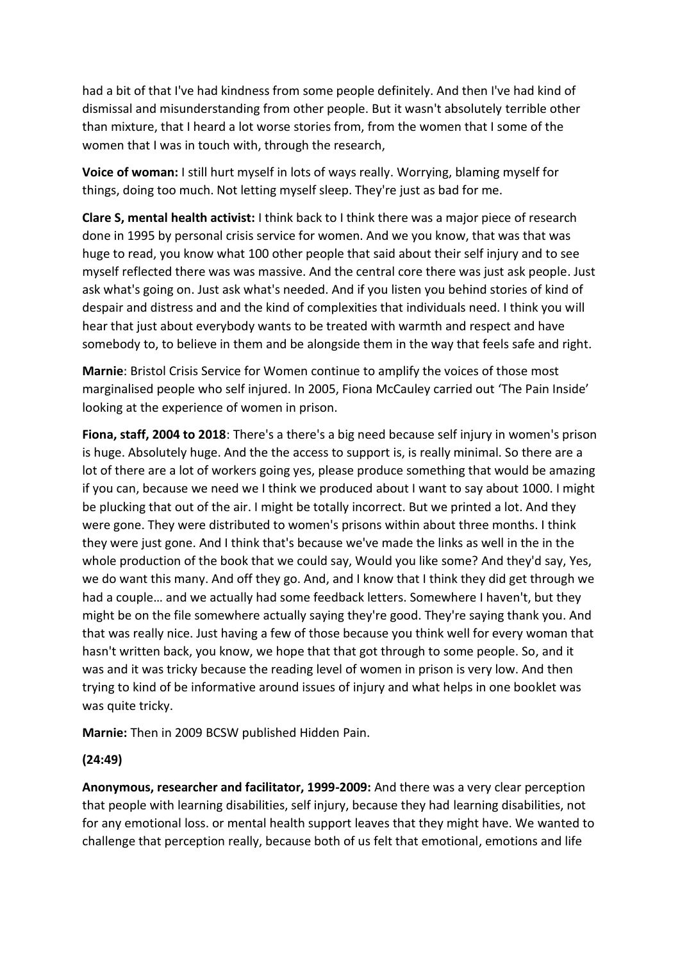had a bit of that I've had kindness from some people definitely. And then I've had kind of dismissal and misunderstanding from other people. But it wasn't absolutely terrible other than mixture, that I heard a lot worse stories from, from the women that I some of the women that I was in touch with, through the research,

**Voice of woman:** I still hurt myself in lots of ways really. Worrying, blaming myself for things, doing too much. Not letting myself sleep. They're just as bad for me.

**Clare S, mental health activist:** I think back to I think there was a major piece of research done in 1995 by personal crisis service for women. And we you know, that was that was huge to read, you know what 100 other people that said about their self injury and to see myself reflected there was was massive. And the central core there was just ask people. Just ask what's going on. Just ask what's needed. And if you listen you behind stories of kind of despair and distress and and the kind of complexities that individuals need. I think you will hear that just about everybody wants to be treated with warmth and respect and have somebody to, to believe in them and be alongside them in the way that feels safe and right.

**Marnie**: Bristol Crisis Service for Women continue to amplify the voices of those most marginalised people who self injured. In 2005, Fiona McCauley carried out 'The Pain Inside' looking at the experience of women in prison.

**Fiona, staff, 2004 to 2018**: There's a there's a big need because self injury in women's prison is huge. Absolutely huge. And the the access to support is, is really minimal. So there are a lot of there are a lot of workers going yes, please produce something that would be amazing if you can, because we need we I think we produced about I want to say about 1000. I might be plucking that out of the air. I might be totally incorrect. But we printed a lot. And they were gone. They were distributed to women's prisons within about three months. I think they were just gone. And I think that's because we've made the links as well in the in the whole production of the book that we could say, Would you like some? And they'd say, Yes, we do want this many. And off they go. And, and I know that I think they did get through we had a couple… and we actually had some feedback letters. Somewhere I haven't, but they might be on the file somewhere actually saying they're good. They're saying thank you. And that was really nice. Just having a few of those because you think well for every woman that hasn't written back, you know, we hope that that got through to some people. So, and it was and it was tricky because the reading level of women in prison is very low. And then trying to kind of be informative around issues of injury and what helps in one booklet was was quite tricky.

**Marnie:** Then in 2009 BCSW published Hidden Pain.

### **(24:49)**

**Anonymous, researcher and facilitator, 1999-2009:** And there was a very clear perception that people with learning disabilities, self injury, because they had learning disabilities, not for any emotional loss. or mental health support leaves that they might have. We wanted to challenge that perception really, because both of us felt that emotional, emotions and life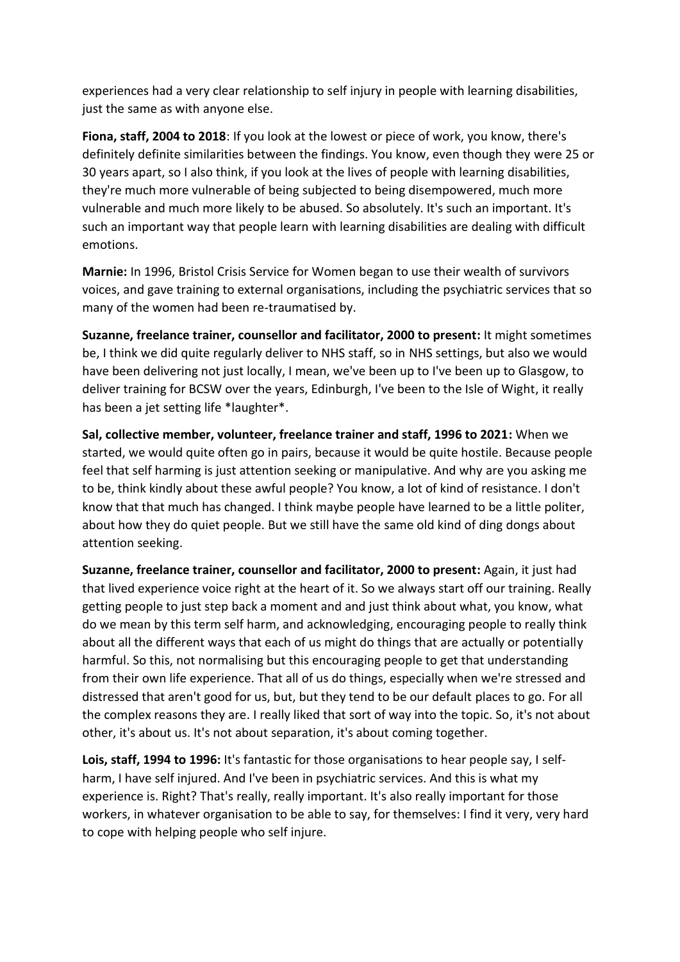experiences had a very clear relationship to self injury in people with learning disabilities, just the same as with anyone else.

**Fiona, staff, 2004 to 2018**: If you look at the lowest or piece of work, you know, there's definitely definite similarities between the findings. You know, even though they were 25 or 30 years apart, so I also think, if you look at the lives of people with learning disabilities, they're much more vulnerable of being subjected to being disempowered, much more vulnerable and much more likely to be abused. So absolutely. It's such an important. It's such an important way that people learn with learning disabilities are dealing with difficult emotions.

**Marnie:** In 1996, Bristol Crisis Service for Women began to use their wealth of survivors voices, and gave training to external organisations, including the psychiatric services that so many of the women had been re-traumatised by.

**Suzanne, freelance trainer, counsellor and facilitator, 2000 to present:** It might sometimes be, I think we did quite regularly deliver to NHS staff, so in NHS settings, but also we would have been delivering not just locally, I mean, we've been up to I've been up to Glasgow, to deliver training for BCSW over the years, Edinburgh, I've been to the Isle of Wight, it really has been a jet setting life \*laughter\*.

**Sal, collective member, volunteer, freelance trainer and staff, 1996 to 2021:** When we started, we would quite often go in pairs, because it would be quite hostile. Because people feel that self harming is just attention seeking or manipulative. And why are you asking me to be, think kindly about these awful people? You know, a lot of kind of resistance. I don't know that that much has changed. I think maybe people have learned to be a little politer, about how they do quiet people. But we still have the same old kind of ding dongs about attention seeking.

**Suzanne, freelance trainer, counsellor and facilitator, 2000 to present:** Again, it just had that lived experience voice right at the heart of it. So we always start off our training. Really getting people to just step back a moment and and just think about what, you know, what do we mean by this term self harm, and acknowledging, encouraging people to really think about all the different ways that each of us might do things that are actually or potentially harmful. So this, not normalising but this encouraging people to get that understanding from their own life experience. That all of us do things, especially when we're stressed and distressed that aren't good for us, but, but they tend to be our default places to go. For all the complex reasons they are. I really liked that sort of way into the topic. So, it's not about other, it's about us. It's not about separation, it's about coming together.

**Lois, staff, 1994 to 1996:** It's fantastic for those organisations to hear people say, I selfharm, I have self injured. And I've been in psychiatric services. And this is what my experience is. Right? That's really, really important. It's also really important for those workers, in whatever organisation to be able to say, for themselves: I find it very, very hard to cope with helping people who self injure.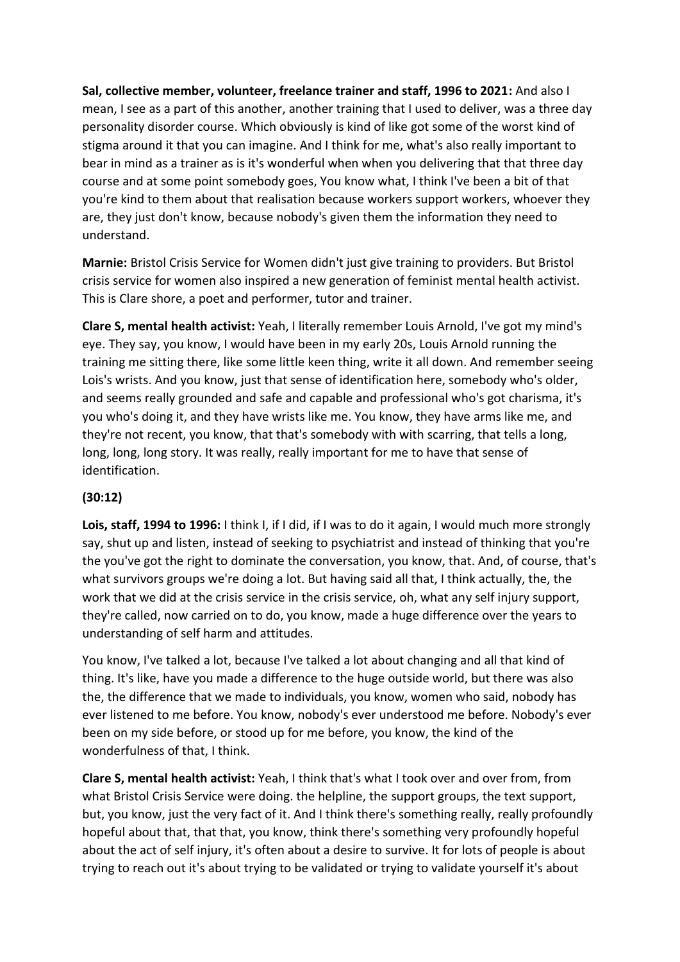**Sal, collective member, volunteer, freelance trainer and staff, 1996 to 2021:** And also I mean, I see as a part of this another, another training that I used to deliver, was a three day personality disorder course. Which obviously is kind of like got some of the worst kind of stigma around it that you can imagine. And I think for me, what's also really important to bear in mind as a trainer as is it's wonderful when when you delivering that that three day course and at some point somebody goes, You know what, I think I've been a bit of that you're kind to them about that realisation because workers support workers, whoever they are, they just don't know, because nobody's given them the information they need to understand.

**Marnie:** Bristol Crisis Service for Women didn't just give training to providers. But Bristol crisis service for women also inspired a new generation of feminist mental health activist. This is Clare shore, a poet and performer, tutor and trainer.

**Clare S, mental health activist:** Yeah, I literally remember Louis Arnold, I've got my mind's eye. They say, you know, I would have been in my early 20s, Louis Arnold running the training me sitting there, like some little keen thing, write it all down. And remember seeing Lois's wrists. And you know, just that sense of identification here, somebody who's older, and seems really grounded and safe and capable and professional who's got charisma, it's you who's doing it, and they have wrists like me. You know, they have arms like me, and they're not recent, you know, that that's somebody with with scarring, that tells a long, long, long, long story. It was really, really important for me to have that sense of identification.

### **(30:12)**

**Lois, staff, 1994 to 1996:** I think I, if I did, if I was to do it again, I would much more strongly say, shut up and listen, instead of seeking to psychiatrist and instead of thinking that you're the you've got the right to dominate the conversation, you know, that. And, of course, that's what survivors groups we're doing a lot. But having said all that, I think actually, the, the work that we did at the crisis service in the crisis service, oh, what any self injury support, they're called, now carried on to do, you know, made a huge difference over the years to understanding of self harm and attitudes.

You know, I've talked a lot, because I've talked a lot about changing and all that kind of thing. It's like, have you made a difference to the huge outside world, but there was also the, the difference that we made to individuals, you know, women who said, nobody has ever listened to me before. You know, nobody's ever understood me before. Nobody's ever been on my side before, or stood up for me before, you know, the kind of the wonderfulness of that, I think.

**Clare S, mental health activist:** Yeah, I think that's what I took over and over from, from what Bristol Crisis Service were doing. the helpline, the support groups, the text support, but, you know, just the very fact of it. And I think there's something really, really profoundly hopeful about that, that that, you know, think there's something very profoundly hopeful about the act of self injury, it's often about a desire to survive. It for lots of people is about trying to reach out it's about trying to be validated or trying to validate yourself it's about